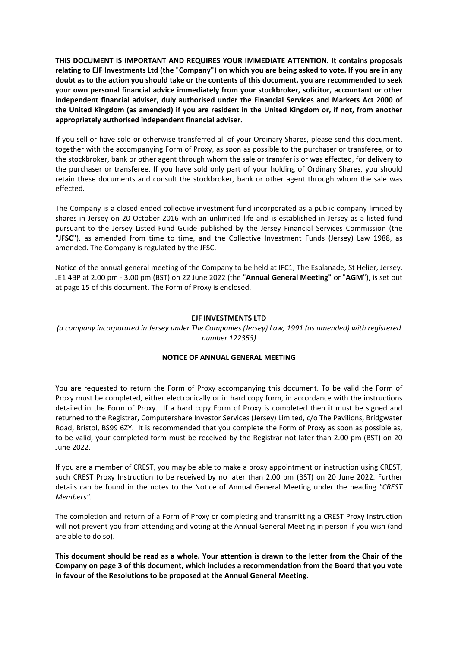**THIS DOCUMENT IS IMPORTANT AND REQUIRES YOUR IMMEDIATE ATTENTION. It contains proposals** relating to EJF Investments Ltd (the "Company") on which you are being asked to vote. If you are in any doubt as to the action you should take or the contents of this document, you are recommended to seek **your own personal financial advice immediately from your stockbroker, solicitor, accountant or other independent financial adviser, duly authorised under the Financial Services and Markets Act 2000 of the United Kingdom (as amended) if you are resident in the United Kingdom or, if not, from another appropriately authorised independent financial adviser.**

If you sell or have sold or otherwise transferred all of your Ordinary Shares, please send this document, together with the accompanying Form of Proxy, as soon as possible to the purchaser or transferee, or to the stockbroker, bank or other agent through whom the sale or transfer is or was effected, for delivery to the purchaser or transferee. If you have sold only part of your holding of Ordinary Shares, you should retain these documents and consult the stockbroker, bank or other agent through whom the sale was effected.

The Company is a closed ended collective investment fund incorporated as a public company limited by shares in Jersey on 20 October 2016 with an unlimited life and is established in Jersey as a listed fund pursuant to the Jersey Listed Fund Guide published by the Jersey Financial Services Commission (the "**JFSC**"), as amended from time to time, and the Collective Investment Funds (Jersey) Law 1988, as amended. The Company is regulated by the JFSC.

Notice of the annual general meeting of the Company to be held at IFC1, The Esplanade, St Helier, Jersey, JE1 4BP at 2.00 pm ‐ 3.00 pm (BST) on 22 June 2022 (the "**Annual General Meeting"** or "**AGM**"), is set out at page 15 of this document. The Form of Proxy is enclosed.

### **EJF INVESTMENTS LTD**

*(a company incorporated in Jersey under The Companies (Jersey) Law, 1991 (as amended) with registered number 122353)*

### **NOTICE OF ANNUAL GENERAL MEETING**

You are requested to return the Form of Proxy accompanying this document. To be valid the Form of Proxy must be completed, either electronically or in hard copy form, in accordance with the instructions detailed in the Form of Proxy. If a hard copy Form of Proxy is completed then it must be signed and returned to the Registrar, Computershare Investor Services (Jersey) Limited, c/o The Pavilions, Bridgwater Road, Bristol, BS99 6ZY. It is recommended that you complete the Form of Proxy as soon as possible as, to be valid, your completed form must be received by the Registrar not later than 2.00 pm (BST) on 20 June 2022.

If you are a member of CREST, you may be able to make a proxy appointment or instruction using CREST, such CREST Proxy Instruction to be received by no later than 2.00 pm (BST) on 20 June 2022. Further details can be found in the notes to the Notice of Annual General Meeting under the heading *"CREST Members".*

The completion and return of a Form of Proxy or completing and transmitting a CREST Proxy Instruction will not prevent you from attending and voting at the Annual General Meeting in person if you wish (and are able to do so).

This document should be read as a whole. Your attention is drawn to the letter from the Chair of the **Company on page 3 of this document, which includes a recommendation from the Board that you vote in favour of the Resolutions to be proposed at the Annual General Meeting.**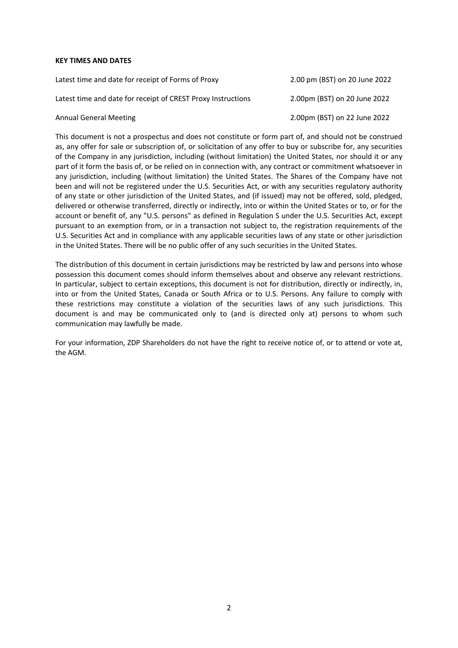#### **KEY TIMES AND DATES**

| Latest time and date for receipt of Forms of Proxy           | 2.00 pm (BST) on 20 June 2022 |
|--------------------------------------------------------------|-------------------------------|
| Latest time and date for receipt of CREST Proxy Instructions | 2.00pm (BST) on 20 June 2022  |
| <b>Annual General Meeting</b>                                | 2.00pm (BST) on 22 June 2022  |

This document is not a prospectus and does not constitute or form part of, and should not be construed as, any offer for sale or subscription of, or solicitation of any offer to buy or subscribe for, any securities of the Company in any jurisdiction, including (without limitation) the United States, nor should it or any part of it form the basis of, or be relied on in connection with, any contract or commitment whatsoever in any jurisdiction, including (without limitation) the United States. The Shares of the Company have not been and will not be registered under the U.S. Securities Act, or with any securities regulatory authority of any state or other jurisdiction of the United States, and (if issued) may not be offered, sold, pledged, delivered or otherwise transferred, directly or indirectly, into or within the United States or to, or for the account or benefit of, any "U.S. persons" as defined in Regulation S under the U.S. Securities Act, except pursuant to an exemption from, or in a transaction not subject to, the registration requirements of the U.S. Securities Act and in compliance with any applicable securities laws of any state or other jurisdiction in the United States. There will be no public offer of any such securities in the United States.

The distribution of this document in certain jurisdictions may be restricted by law and persons into whose possession this document comes should inform themselves about and observe any relevant restrictions. In particular, subject to certain exceptions, this document is not for distribution, directly or indirectly, in, into or from the United States, Canada or South Africa or to U.S. Persons. Any failure to comply with these restrictions may constitute a violation of the securities laws of any such jurisdictions. This document is and may be communicated only to (and is directed only at) persons to whom such communication may lawfully be made.

For your information, ZDP Shareholders do not have the right to receive notice of, or to attend or vote at, the AGM.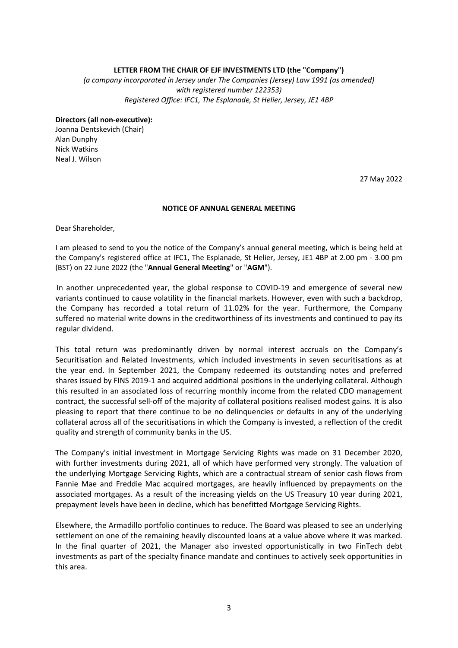### **LETTER FROM THE CHAIR OF EJF INVESTMENTS LTD (the "Company")**

*(a company incorporated in Jersey under The Companies (Jersey) Law 1991 (as amended) with registered number 122353) Registered Office: IFC1, The Esplanade, St Helier, Jersey, JE1 4BP*

#### **Directors (all non‐executive):**

Joanna Dentskevich (Chair) Alan Dunphy Nick Watkins Neal J. Wilson

27 May 2022

### **NOTICE OF ANNUAL GENERAL MEETING**

Dear Shareholder,

I am pleased to send to you the notice of the Company's annual general meeting, which is being held at the Company's registered office at IFC1. The Esplanade, St Helier, Jersey, JE1 4BP at 2.00 pm - 3.00 pm (BST) on 22 June 2022 (the "**Annual General Meeting**" or "**AGM**").

In another unprecedented year, the global response to COVID-19 and emergence of several new variants continued to cause volatility in the financial markets. However, even with such a backdrop, the Company has recorded a total return of 11.02% for the year. Furthermore, the Company suffered no material write downs in the creditworthiness of its investments and continued to pay its regular dividend.

This total return was predominantly driven by normal interest accruals on the Company's Securitisation and Related Investments, which included investments in seven securitisations as at the year end. In September 2021, the Company redeemed its outstanding notes and preferred shares issued by FINS 2019-1 and acquired additional positions in the underlying collateral. Although this resulted in an associated loss of recurring monthly income from the related CDO management contract, the successful sell‐off of the majority of collateral positions realised modest gains. It is also pleasing to report that there continue to be no delinquencies or defaults in any of the underlying collateral across all of the securitisations in which the Company is invested, a reflection of the credit quality and strength of community banks in the US.

The Company's initial investment in Mortgage Servicing Rights was made on 31 December 2020, with further investments during 2021, all of which have performed very strongly. The valuation of the underlying Mortgage Servicing Rights, which are a contractual stream of senior cash flows from Fannie Mae and Freddie Mac acquired mortgages, are heavily influenced by prepayments on the associated mortgages. As a result of the increasing yields on the US Treasury 10 year during 2021, prepayment levels have been in decline, which has benefitted Mortgage Servicing Rights.

Elsewhere, the Armadillo portfolio continues to reduce. The Board was pleased to see an underlying settlement on one of the remaining heavily discounted loans at a value above where it was marked. In the final quarter of 2021, the Manager also invested opportunistically in two FinTech debt investments as part of the specialty finance mandate and continues to actively seek opportunities in this area.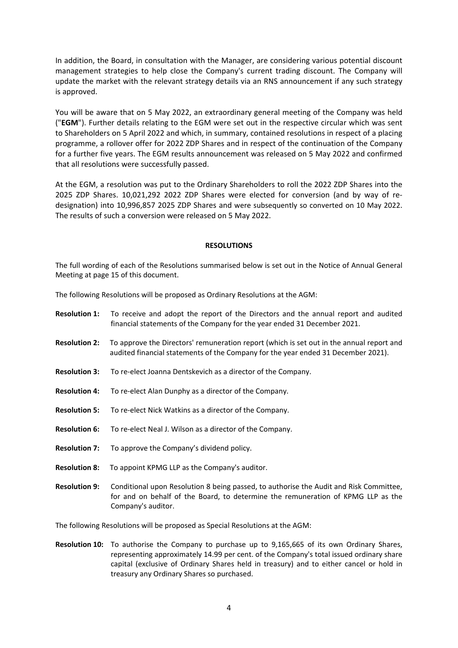In addition, the Board, in consultation with the Manager, are considering various potential discount management strategies to help close the Company's current trading discount. The Company will update the market with the relevant strategy details via an RNS announcement if any such strategy is approved.

You will be aware that on 5 May 2022, an extraordinary general meeting of the Company was held ("**EGM**"). Further details relating to the EGM were set out in the respective circular which was sent to Shareholders on 5 April 2022 and which, in summary, contained resolutions in respect of a placing programme, a rollover offer for 2022 ZDP Shares and in respect of the continuation of the Company for a further five years. The EGM results announcement was released on 5 May 2022 and confirmed that all resolutions were successfully passed.

At the EGM, a resolution was put to the Ordinary Shareholders to roll the 2022 ZDP Shares into the 2025 ZDP Shares. 10,021,292 2022 ZDP Shares were elected for conversion (and by way of re‐ designation) into 10,996,857 2025 ZDP Shares and were subsequently so converted on 10 May 2022. The results of such a conversion were released on 5 May 2022.

### **RESOLUTIONS**

The full wording of each of the Resolutions summarised below is set out in the Notice of Annual General Meeting at page 15 of this document.

The following Resolutions will be proposed as Ordinary Resolutions at the AGM:

- **Resolution 1:** To receive and adopt the report of the Directors and the annual report and audited financial statements of the Company for the year ended 31 December 2021. **Resolution 2:**  To approve the Directors' remuneration report (which is set out in the annual report and audited financial statements of the Company for the year ended 31 December 2021). **Resolution 3:** To re‐elect Joanna Dentskevich as a director of the Company. **Resolution 4:** To re‐elect Alan Dunphy as a director of the Company. **Resolution 5:** To re‐elect Nick Watkins as a director of the Company. **Resolution 6:** To re‐elect Neal J. Wilson as a director of the Company. **Resolution 7:** To approve the Company's dividend policy. **Resolution 8:** To appoint KPMG LLP as the Company's auditor. **Resolution 9:** Conditional upon Resolution 8 being passed, to authorise the Audit and Risk Committee, for and on behalf of the Board, to determine the remuneration of KPMG LLP as the Company's auditor. The following Resolutions will be proposed as Special Resolutions at the AGM:
- **Resolution 10:** To authorise the Company to purchase up to 9,165,665 of its own Ordinary Shares, representing approximately 14.99 per cent. of the Company's total issued ordinary share capital (exclusive of Ordinary Shares held in treasury) and to either cancel or hold in treasury any Ordinary Shares so purchased.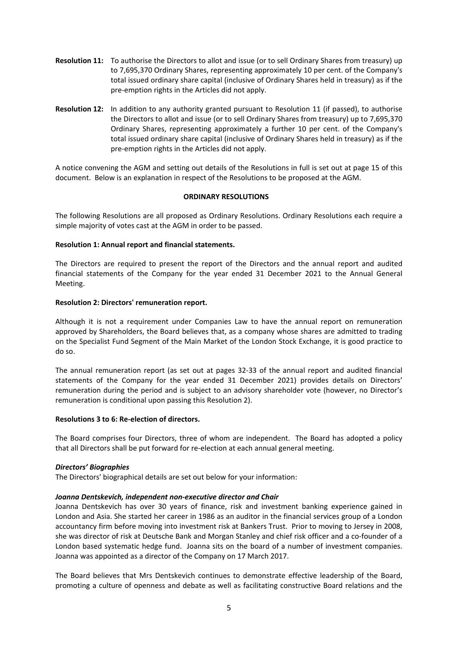- **Resolution 11:** To authorise the Directors to allot and issue (or to sell Ordinary Shares from treasury) up to 7,695,370 Ordinary Shares, representing approximately 10 per cent. of the Company's total issued ordinary share capital (inclusive of Ordinary Shares held in treasury) as if the pre‐emption rights in the Articles did not apply.
- **Resolution 12:** In addition to any authority granted pursuant to Resolution 11 (if passed), to authorise the Directors to allot and issue (or to sell Ordinary Shares from treasury) up to 7,695,370 Ordinary Shares, representing approximately a further 10 per cent. of the Company's total issued ordinary share capital (inclusive of Ordinary Shares held in treasury) as if the pre‐emption rights in the Articles did not apply.

A notice convening the AGM and setting out details of the Resolutions in full is set out at page 15 of this document. Below is an explanation in respect of the Resolutions to be proposed at the AGM.

### **ORDINARY RESOLUTIONS**

The following Resolutions are all proposed as Ordinary Resolutions. Ordinary Resolutions each require a simple majority of votes cast at the AGM in order to be passed.

### **Resolution 1: Annual report and financial statements.**

The Directors are required to present the report of the Directors and the annual report and audited financial statements of the Company for the year ended 31 December 2021 to the Annual General Meeting.

### **Resolution 2: Directors' remuneration report.**

Although it is not a requirement under Companies Law to have the annual report on remuneration approved by Shareholders, the Board believes that, as a company whose shares are admitted to trading on the Specialist Fund Segment of the Main Market of the London Stock Exchange, it is good practice to do so.

The annual remuneration report (as set out at pages 32‐33 of the annual report and audited financial statements of the Company for the year ended 31 December 2021) provides details on Directors' remuneration during the period and is subject to an advisory shareholder vote (however, no Director's remuneration is conditional upon passing this Resolution 2).

### **Resolutions 3 to 6: Re‐election of directors.**

The Board comprises four Directors, three of whom are independent. The Board has adopted a policy that all Directors shall be put forward for re‐election at each annual general meeting.

## *Directors' Biographies*

The Directors' biographical details are set out below for your information:

## *Joanna Dentskevich, independent non‐executive director and Chair*

Joanna Dentskevich has over 30 years of finance, risk and investment banking experience gained in London and Asia. She started her career in 1986 as an auditor in the financial services group of a London accountancy firm before moving into investment risk at Bankers Trust. Prior to moving to Jersey in 2008, she was director of risk at Deutsche Bank and Morgan Stanley and chief risk officer and a co-founder of a London based systematic hedge fund. Joanna sits on the board of a number of investment companies. Joanna was appointed as a director of the Company on 17 March 2017.

The Board believes that Mrs Dentskevich continues to demonstrate effective leadership of the Board, promoting a culture of openness and debate as well as facilitating constructive Board relations and the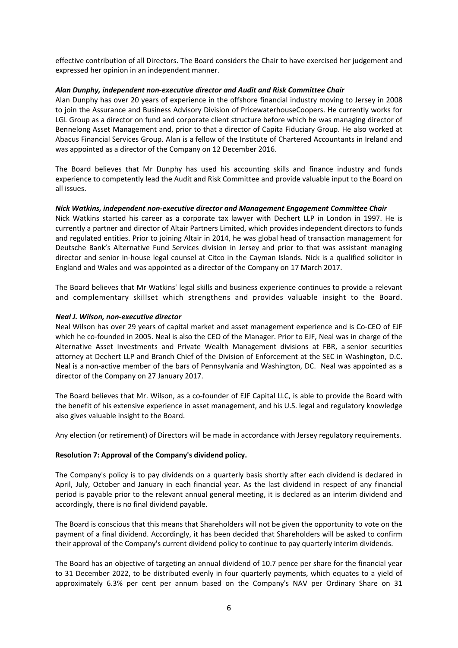effective contribution of all Directors. The Board considers the Chair to have exercised her judgement and expressed her opinion in an independent manner.

### *Alan Dunphy, independent non‐executive director and Audit and Risk Committee Chair*

Alan Dunphy has over 20 years of experience in the offshore financial industry moving to Jersey in 2008 to join the Assurance and Business Advisory Division of PricewaterhouseCoopers. He currently works for LGL Group as a director on fund and corporate client structure before which he was managing director of Bennelong Asset Management and, prior to that a director of Capita Fiduciary Group. He also worked at Abacus Financial Services Group. Alan is a fellow of the Institute of Chartered Accountants in Ireland and was appointed as a director of the Company on 12 December 2016.

The Board believes that Mr Dunphy has used his accounting skills and finance industry and funds experience to competently lead the Audit and Risk Committee and provide valuable input to the Board on all issues.

### *Nick Watkins, independent non‐executive director and Management Engagement Committee Chair*

Nick Watkins started his career as a corporate tax lawyer with Dechert LLP in London in 1997. He is currently a partner and director of Altair Partners Limited, which provides independent directors to funds and regulated entities. Prior to joining Altair in 2014, he was global head of transaction management for Deutsche Bank's Alternative Fund Services division in Jersey and prior to that was assistant managing director and senior in‐house legal counsel at Citco in the Cayman Islands. Nick is a qualified solicitor in England and Wales and was appointed as a director of the Company on 17 March 2017.

The Board believes that Mr Watkins' legal skills and business experience continues to provide a relevant and complementary skillset which strengthens and provides valuable insight to the Board.

### *Neal J. Wilson, non‐executive director*

Neal Wilson has over 29 years of capital market and asset management experience and is Co‐CEO of EJF which he co-founded in 2005. Neal is also the CEO of the Manager. Prior to EJF, Neal was in charge of the Alternative Asset Investments and Private Wealth Management divisions at FBR, a senior securities attorney at Dechert LLP and Branch Chief of the Division of Enforcement at the SEC in Washington, D.C. Neal is a non-active member of the bars of Pennsylvania and Washington, DC. Neal was appointed as a director of the Company on 27 January 2017.

The Board believes that Mr. Wilson, as a co-founder of EJF Capital LLC, is able to provide the Board with the benefit of his extensive experience in asset management, and his U.S. legal and regulatory knowledge also gives valuable insight to the Board.

Any election (or retirement) of Directors will be made in accordance with Jersey regulatory requirements.

## **Resolution 7: Approval of the Company's dividend policy.**

The Company's policy is to pay dividends on a quarterly basis shortly after each dividend is declared in April, July, October and January in each financial year. As the last dividend in respect of any financial period is payable prior to the relevant annual general meeting, it is declared as an interim dividend and accordingly, there is no final dividend payable.

The Board is conscious that this means that Shareholders will not be given the opportunity to vote on the payment of a final dividend. Accordingly, it has been decided that Shareholders will be asked to confirm their approval of the Company's current dividend policy to continue to pay quarterly interim dividends.

The Board has an objective of targeting an annual dividend of 10.7 pence per share for the financial year to 31 December 2022, to be distributed evenly in four quarterly payments, which equates to a yield of approximately 6.3% per cent per annum based on the Company's NAV per Ordinary Share on 31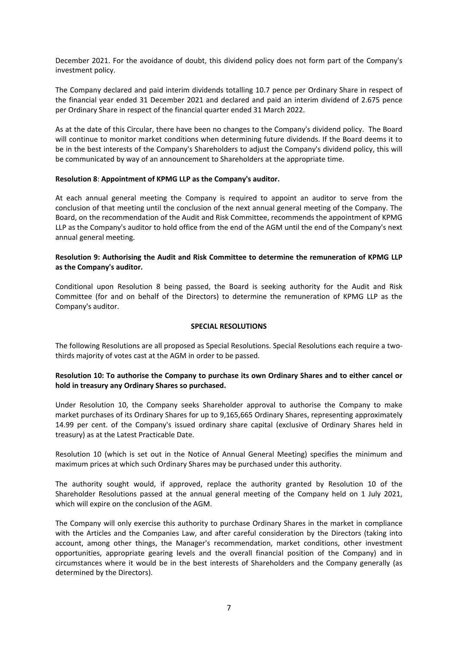December 2021. For the avoidance of doubt, this dividend policy does not form part of the Company's investment policy.

The Company declared and paid interim dividends totalling 10.7 pence per Ordinary Share in respect of the financial year ended 31 December 2021 and declared and paid an interim dividend of 2.675 pence per Ordinary Share in respect of the financial quarter ended 31 March 2022.

As at the date of this Circular, there have been no changes to the Company's dividend policy. The Board will continue to monitor market conditions when determining future dividends. If the Board deems it to be in the best interests of the Company's Shareholders to adjust the Company's dividend policy, this will be communicated by way of an announcement to Shareholders at the appropriate time.

### **Resolution 8**: **Appointment of KPMG LLP as the Company's auditor.**

At each annual general meeting the Company is required to appoint an auditor to serve from the conclusion of that meeting until the conclusion of the next annual general meeting of the Company. The Board, on the recommendation of the Audit and Risk Committee, recommends the appointment of KPMG LLP as the Company's auditor to hold office from the end of the AGM until the end of the Company's next annual general meeting.

### **Resolution 9: Authorising the Audit and Risk Committee to determine the remuneration of KPMG LLP as the Company's auditor.**

Conditional upon Resolution 8 being passed, the Board is seeking authority for the Audit and Risk Committee (for and on behalf of the Directors) to determine the remuneration of KPMG LLP as the Company's auditor.

### **SPECIAL RESOLUTIONS**

The following Resolutions are all proposed as Special Resolutions. Special Resolutions each require a two‐ thirds majority of votes cast at the AGM in order to be passed.

## **Resolution 10: To authorise the Company to purchase its own Ordinary Shares and to either cancel or hold in treasury any Ordinary Shares so purchased.**

Under Resolution 10, the Company seeks Shareholder approval to authorise the Company to make market purchases of its Ordinary Shares for up to 9,165,665 Ordinary Shares, representing approximately 14.99 per cent. of the Company's issued ordinary share capital (exclusive of Ordinary Shares held in treasury) as at the Latest Practicable Date.

Resolution 10 (which is set out in the Notice of Annual General Meeting) specifies the minimum and maximum prices at which such Ordinary Shares may be purchased under this authority.

The authority sought would, if approved, replace the authority granted by Resolution 10 of the Shareholder Resolutions passed at the annual general meeting of the Company held on 1 July 2021, which will expire on the conclusion of the AGM.

The Company will only exercise this authority to purchase Ordinary Shares in the market in compliance with the Articles and the Companies Law, and after careful consideration by the Directors (taking into account, among other things, the Manager's recommendation, market conditions, other investment opportunities, appropriate gearing levels and the overall financial position of the Company) and in circumstances where it would be in the best interests of Shareholders and the Company generally (as determined by the Directors).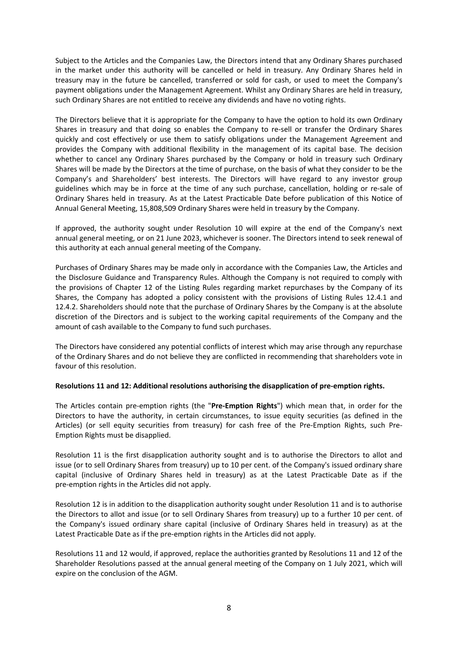Subject to the Articles and the Companies Law, the Directors intend that any Ordinary Shares purchased in the market under this authority will be cancelled or held in treasury. Any Ordinary Shares held in treasury may in the future be cancelled, transferred or sold for cash, or used to meet the Company's payment obligations under the Management Agreement. Whilst any Ordinary Shares are held in treasury, such Ordinary Shares are not entitled to receive any dividends and have no voting rights.

The Directors believe that it is appropriate for the Company to have the option to hold its own Ordinary Shares in treasury and that doing so enables the Company to re-sell or transfer the Ordinary Shares quickly and cost effectively or use them to satisfy obligations under the Management Agreement and provides the Company with additional flexibility in the management of its capital base. The decision whether to cancel any Ordinary Shares purchased by the Company or hold in treasury such Ordinary Shares will be made by the Directors at the time of purchase, on the basis of what they consider to be the Company's and Shareholders' best interests. The Directors will have regard to any investor group guidelines which may be in force at the time of any such purchase, cancellation, holding or re‐sale of Ordinary Shares held in treasury. As at the Latest Practicable Date before publication of this Notice of Annual General Meeting, 15,808,509 Ordinary Shares were held in treasury by the Company.

If approved, the authority sought under Resolution 10 will expire at the end of the Company's next annual general meeting, or on 21 June 2023, whichever is sooner. The Directors intend to seek renewal of this authority at each annual general meeting of the Company.

Purchases of Ordinary Shares may be made only in accordance with the Companies Law, the Articles and the Disclosure Guidance and Transparency Rules. Although the Company is not required to comply with the provisions of Chapter 12 of the Listing Rules regarding market repurchases by the Company of its Shares, the Company has adopted a policy consistent with the provisions of Listing Rules 12.4.1 and 12.4.2. Shareholders should note that the purchase of Ordinary Shares by the Company is at the absolute discretion of the Directors and is subject to the working capital requirements of the Company and the amount of cash available to the Company to fund such purchases.

The Directors have considered any potential conflicts of interest which may arise through any repurchase of the Ordinary Shares and do not believe they are conflicted in recommending that shareholders vote in favour of this resolution.

### **Resolutions 11 and 12: Additional resolutions authorising the disapplication of pre‐emption rights.**

The Articles contain pre‐emption rights (the "**Pre‐Emption Rights**") which mean that, in order for the Directors to have the authority, in certain circumstances, to issue equity securities (as defined in the Articles) (or sell equity securities from treasury) for cash free of the Pre‐Emption Rights, such Pre‐ Emption Rights must be disapplied.

Resolution 11 is the first disapplication authority sought and is to authorise the Directors to allot and issue (or to sell Ordinary Shares from treasury) up to 10 per cent. of the Company's issued ordinary share capital (inclusive of Ordinary Shares held in treasury) as at the Latest Practicable Date as if the pre‐emption rights in the Articles did not apply.

Resolution 12 is in addition to the disapplication authority sought under Resolution 11 and is to authorise the Directors to allot and issue (or to sell Ordinary Shares from treasury) up to a further 10 per cent. of the Company's issued ordinary share capital (inclusive of Ordinary Shares held in treasury) as at the Latest Practicable Date as if the pre‐emption rights in the Articles did not apply.

Resolutions 11 and 12 would, if approved, replace the authorities granted by Resolutions 11 and 12 of the Shareholder Resolutions passed at the annual general meeting of the Company on 1 July 2021, which will expire on the conclusion of the AGM.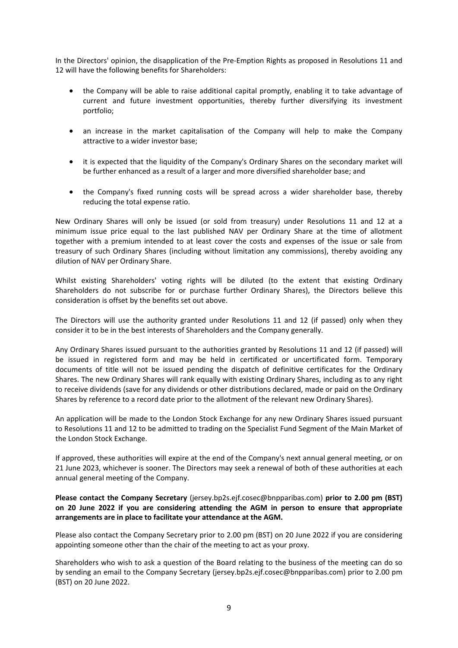In the Directors' opinion, the disapplication of the Pre‐Emption Rights as proposed in Resolutions 11 and 12 will have the following benefits for Shareholders:

- the Company will be able to raise additional capital promptly, enabling it to take advantage of current and future investment opportunities, thereby further diversifying its investment portfolio;
- an increase in the market capitalisation of the Company will help to make the Company attractive to a wider investor base;
- it is expected that the liquidity of the Company's Ordinary Shares on the secondary market will be further enhanced as a result of a larger and more diversified shareholder base; and
- the Company's fixed running costs will be spread across a wider shareholder base, thereby reducing the total expense ratio.

New Ordinary Shares will only be issued (or sold from treasury) under Resolutions 11 and 12 at a minimum issue price equal to the last published NAV per Ordinary Share at the time of allotment together with a premium intended to at least cover the costs and expenses of the issue or sale from treasury of such Ordinary Shares (including without limitation any commissions), thereby avoiding any dilution of NAV per Ordinary Share.

Whilst existing Shareholders' voting rights will be diluted (to the extent that existing Ordinary Shareholders do not subscribe for or purchase further Ordinary Shares), the Directors believe this consideration is offset by the benefits set out above.

The Directors will use the authority granted under Resolutions 11 and 12 (if passed) only when they consider it to be in the best interests of Shareholders and the Company generally.

Any Ordinary Shares issued pursuant to the authorities granted by Resolutions 11 and 12 (if passed) will be issued in registered form and may be held in certificated or uncertificated form. Temporary documents of title will not be issued pending the dispatch of definitive certificates for the Ordinary Shares. The new Ordinary Shares will rank equally with existing Ordinary Shares, including as to any right to receive dividends (save for any dividends or other distributions declared, made or paid on the Ordinary Shares by reference to a record date prior to the allotment of the relevant new Ordinary Shares).

An application will be made to the London Stock Exchange for any new Ordinary Shares issued pursuant to Resolutions 11 and 12 to be admitted to trading on the Specialist Fund Segment of the Main Market of the London Stock Exchange.

If approved, these authorities will expire at the end of the Company's next annual general meeting, or on 21 June 2023, whichever is sooner. The Directors may seek a renewal of both of these authorities at each annual general meeting of the Company.

**Please contact the Company Secretary** (jersey.bp2s.ejf.cosec@bnpparibas.com) **prior to 2.00 pm (BST) on 20 June 2022 if you are considering attending the AGM in person to ensure that appropriate arrangements are in place to facilitate your attendance at the AGM.**

Please also contact the Company Secretary prior to 2.00 pm (BST) on 20 June 2022 if you are considering appointing someone other than the chair of the meeting to act as your proxy.

Shareholders who wish to ask a question of the Board relating to the business of the meeting can do so by sending an email to the Company Secretary (jersey.bp2s.ejf.cosec@bnpparibas.com) prior to 2.00 pm (BST) on 20 June 2022.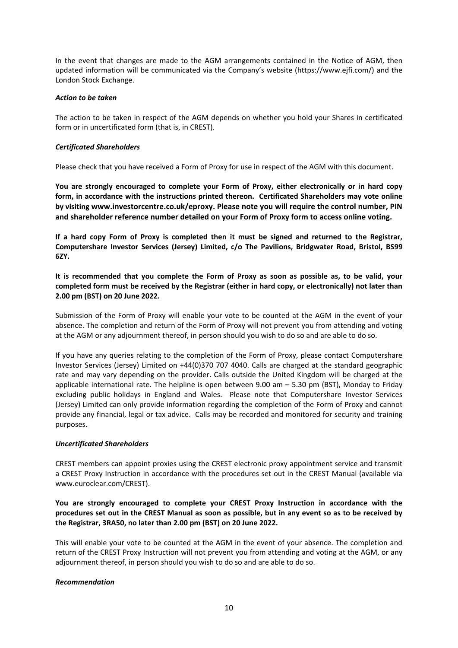In the event that changes are made to the AGM arrangements contained in the Notice of AGM, then updated information will be communicated via the Company's website (https://www.ejfi.com/) and the London Stock Exchange.

### *Action to be taken*

The action to be taken in respect of the AGM depends on whether you hold your Shares in certificated form or in uncertificated form (that is, in CREST).

### *Certificated Shareholders*

Please check that you have received a Form of Proxy for use in respect of the AGM with this document.

**You are strongly encouraged to complete your Form of Proxy, either electronically or in hard copy form, in accordance with the instructions printed thereon. Certificated Shareholders may vote online by visiting www.investorcentre.co.uk/eproxy. Please note you will require the control number, PIN and shareholder reference number detailed on your Form of Proxy form to access online voting.**

If a hard copy Form of Proxy is completed then it must be signed and returned to the Registrar, **Computershare Investor Services (Jersey) Limited, c/o The Pavilions, Bridgwater Road, Bristol, BS99 6ZY.** 

It is recommended that you complete the Form of Proxy as soon as possible as, to be valid, your **completed form must be received by the Registrar (either in hard copy, or electronically) not later than 2.00 pm (BST) on 20 June 2022.** 

Submission of the Form of Proxy will enable your vote to be counted at the AGM in the event of your absence. The completion and return of the Form of Proxy will not prevent you from attending and voting at the AGM or any adjournment thereof, in person should you wish to do so and are able to do so.

If you have any queries relating to the completion of the Form of Proxy, please contact Computershare Investor Services (Jersey) Limited on +44(0)370 707 4040. Calls are charged at the standard geographic rate and may vary depending on the provider. Calls outside the United Kingdom will be charged at the applicable international rate. The helpline is open between 9.00 am – 5.30 pm (BST), Monday to Friday excluding public holidays in England and Wales. Please note that Computershare Investor Services (Jersey) Limited can only provide information regarding the completion of the Form of Proxy and cannot provide any financial, legal or tax advice. Calls may be recorded and monitored for security and training purposes.

## *Uncertificated Shareholders*

CREST members can appoint proxies using the CREST electronic proxy appointment service and transmit a CREST Proxy Instruction in accordance with the procedures set out in the CREST Manual (available via www.euroclear.com/CREST).

**You are strongly encouraged to complete your CREST Proxy Instruction in accordance with the** procedures set out in the CREST Manual as soon as possible, but in any event so as to be received by **the Registrar, 3RA50, no later than 2.00 pm (BST) on 20 June 2022.** 

This will enable your vote to be counted at the AGM in the event of your absence. The completion and return of the CREST Proxy Instruction will not prevent you from attending and voting at the AGM, or any adjournment thereof, in person should you wish to do so and are able to do so.

### *Recommendation*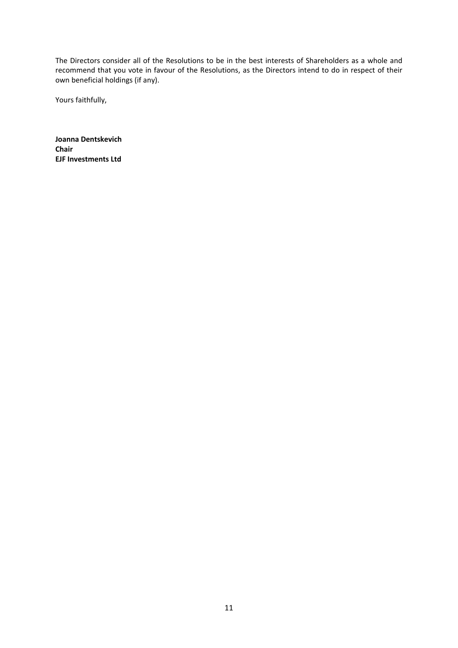The Directors consider all of the Resolutions to be in the best interests of Shareholders as a whole and recommend that you vote in favour of the Resolutions, as the Directors intend to do in respect of their own beneficial holdings (if any).

Yours faithfully,

**Joanna Dentskevich Chair EJF Investments Ltd**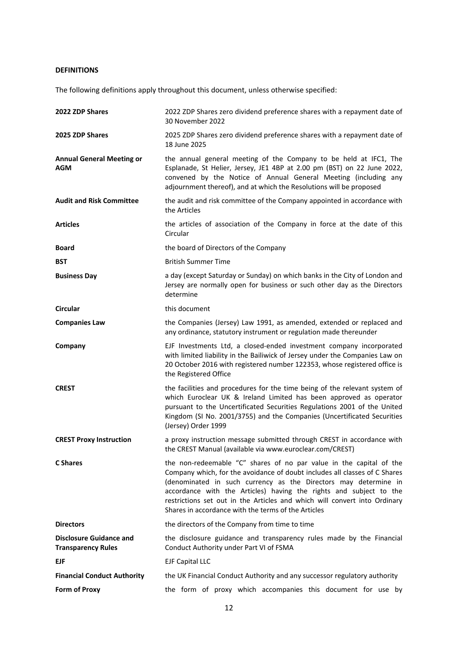# **DEFINITIONS**

The following definitions apply throughout this document, unless otherwise specified:

| 2022 ZDP Shares                                             | 2022 ZDP Shares zero dividend preference shares with a repayment date of<br>30 November 2022                                                                                                                                                                                                                                                                                                                                   |
|-------------------------------------------------------------|--------------------------------------------------------------------------------------------------------------------------------------------------------------------------------------------------------------------------------------------------------------------------------------------------------------------------------------------------------------------------------------------------------------------------------|
| 2025 ZDP Shares                                             | 2025 ZDP Shares zero dividend preference shares with a repayment date of<br>18 June 2025                                                                                                                                                                                                                                                                                                                                       |
| <b>Annual General Meeting or</b><br><b>AGM</b>              | the annual general meeting of the Company to be held at IFC1, The<br>Esplanade, St Helier, Jersey, JE1 4BP at 2.00 pm (BST) on 22 June 2022,<br>convened by the Notice of Annual General Meeting (including any<br>adjournment thereof), and at which the Resolutions will be proposed                                                                                                                                         |
| <b>Audit and Risk Committee</b>                             | the audit and risk committee of the Company appointed in accordance with<br>the Articles                                                                                                                                                                                                                                                                                                                                       |
| <b>Articles</b>                                             | the articles of association of the Company in force at the date of this<br>Circular                                                                                                                                                                                                                                                                                                                                            |
| <b>Board</b>                                                | the board of Directors of the Company                                                                                                                                                                                                                                                                                                                                                                                          |
| <b>BST</b>                                                  | <b>British Summer Time</b>                                                                                                                                                                                                                                                                                                                                                                                                     |
| <b>Business Day</b>                                         | a day (except Saturday or Sunday) on which banks in the City of London and<br>Jersey are normally open for business or such other day as the Directors<br>determine                                                                                                                                                                                                                                                            |
| Circular                                                    | this document                                                                                                                                                                                                                                                                                                                                                                                                                  |
| <b>Companies Law</b>                                        | the Companies (Jersey) Law 1991, as amended, extended or replaced and<br>any ordinance, statutory instrument or regulation made thereunder                                                                                                                                                                                                                                                                                     |
| Company                                                     | EJF Investments Ltd, a closed-ended investment company incorporated<br>with limited liability in the Bailiwick of Jersey under the Companies Law on<br>20 October 2016 with registered number 122353, whose registered office is<br>the Registered Office                                                                                                                                                                      |
| <b>CREST</b>                                                | the facilities and procedures for the time being of the relevant system of<br>which Euroclear UK & Ireland Limited has been approved as operator<br>pursuant to the Uncertificated Securities Regulations 2001 of the United<br>Kingdom (SI No. 2001/3755) and the Companies (Uncertificated Securities<br>(Jersey) Order 1999                                                                                                 |
| <b>CREST Proxy Instruction</b>                              | a proxy instruction message submitted through CREST in accordance with<br>the CREST Manual (available via www.euroclear.com/CREST)                                                                                                                                                                                                                                                                                             |
| C Shares                                                    | the non-redeemable "C" shares of no par value in the capital of the<br>Company which, for the avoidance of doubt includes all classes of C Shares<br>(denominated in such currency as the Directors may determine in<br>accordance with the Articles) having the rights and subject to the<br>restrictions set out in the Articles and which will convert into Ordinary<br>Shares in accordance with the terms of the Articles |
| <b>Directors</b>                                            | the directors of the Company from time to time                                                                                                                                                                                                                                                                                                                                                                                 |
| <b>Disclosure Guidance and</b><br><b>Transparency Rules</b> | the disclosure guidance and transparency rules made by the Financial<br>Conduct Authority under Part VI of FSMA                                                                                                                                                                                                                                                                                                                |
| EJF                                                         | <b>EJF Capital LLC</b>                                                                                                                                                                                                                                                                                                                                                                                                         |
| <b>Financial Conduct Authority</b>                          | the UK Financial Conduct Authority and any successor regulatory authority                                                                                                                                                                                                                                                                                                                                                      |
| <b>Form of Proxy</b>                                        | the form of proxy which accompanies this document for use by                                                                                                                                                                                                                                                                                                                                                                   |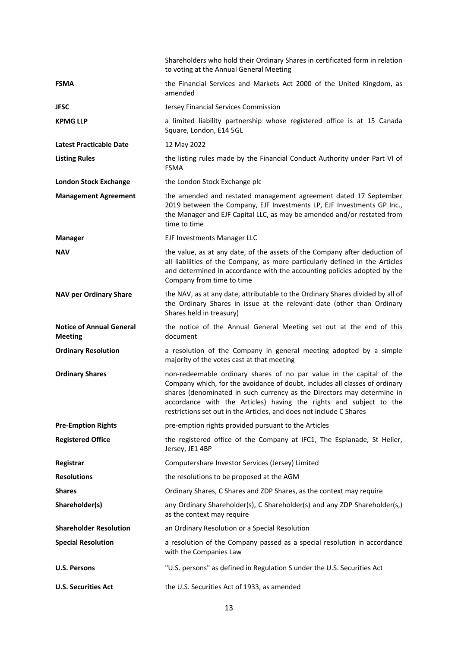|                                                   | Shareholders who hold their Ordinary Shares in certificated form in relation<br>to voting at the Annual General Meeting                                                                                                                                                                                                                                                    |
|---------------------------------------------------|----------------------------------------------------------------------------------------------------------------------------------------------------------------------------------------------------------------------------------------------------------------------------------------------------------------------------------------------------------------------------|
| <b>FSMA</b>                                       | the Financial Services and Markets Act 2000 of the United Kingdom, as<br>amended                                                                                                                                                                                                                                                                                           |
| <b>JFSC</b>                                       | Jersey Financial Services Commission                                                                                                                                                                                                                                                                                                                                       |
| <b>KPMG LLP</b>                                   | a limited liability partnership whose registered office is at 15 Canada<br>Square, London, E14 5GL                                                                                                                                                                                                                                                                         |
| <b>Latest Practicable Date</b>                    | 12 May 2022                                                                                                                                                                                                                                                                                                                                                                |
| <b>Listing Rules</b>                              | the listing rules made by the Financial Conduct Authority under Part VI of<br><b>FSMA</b>                                                                                                                                                                                                                                                                                  |
| <b>London Stock Exchange</b>                      | the London Stock Exchange plc                                                                                                                                                                                                                                                                                                                                              |
| <b>Management Agreement</b>                       | the amended and restated management agreement dated 17 September<br>2019 between the Company, EJF Investments LP, EJF Investments GP Inc.,<br>the Manager and EJF Capital LLC, as may be amended and/or restated from<br>time to time                                                                                                                                      |
| <b>Manager</b>                                    | EJF Investments Manager LLC                                                                                                                                                                                                                                                                                                                                                |
| <b>NAV</b>                                        | the value, as at any date, of the assets of the Company after deduction of<br>all liabilities of the Company, as more particularly defined in the Articles<br>and determined in accordance with the accounting policies adopted by the<br>Company from time to time                                                                                                        |
| <b>NAV per Ordinary Share</b>                     | the NAV, as at any date, attributable to the Ordinary Shares divided by all of<br>the Ordinary Shares in issue at the relevant date (other than Ordinary<br>Shares held in treasury)                                                                                                                                                                                       |
| <b>Notice of Annual General</b><br><b>Meeting</b> | the notice of the Annual General Meeting set out at the end of this<br>document                                                                                                                                                                                                                                                                                            |
| <b>Ordinary Resolution</b>                        | a resolution of the Company in general meeting adopted by a simple<br>majority of the votes cast at that meeting                                                                                                                                                                                                                                                           |
| <b>Ordinary Shares</b>                            | non-redeemable ordinary shares of no par value in the capital of the<br>Company which, for the avoidance of doubt, includes all classes of ordinary<br>shares (denominated in such currency as the Directors may determine in<br>accordance with the Articles) having the rights and subject to the<br>restrictions set out in the Articles, and does not include C Shares |
| <b>Pre-Emption Rights</b>                         | pre-emption rights provided pursuant to the Articles                                                                                                                                                                                                                                                                                                                       |
| <b>Registered Office</b>                          | the registered office of the Company at IFC1, The Esplanade, St Helier,<br>Jersey, JE1 4BP                                                                                                                                                                                                                                                                                 |
| Registrar                                         | Computershare Investor Services (Jersey) Limited                                                                                                                                                                                                                                                                                                                           |
| <b>Resolutions</b>                                | the resolutions to be proposed at the AGM                                                                                                                                                                                                                                                                                                                                  |
| <b>Shares</b>                                     | Ordinary Shares, C Shares and ZDP Shares, as the context may require                                                                                                                                                                                                                                                                                                       |
| Shareholder(s)                                    | any Ordinary Shareholder(s), C Shareholder(s) and any ZDP Shareholder(s,)<br>as the context may require                                                                                                                                                                                                                                                                    |
| <b>Shareholder Resolution</b>                     | an Ordinary Resolution or a Special Resolution                                                                                                                                                                                                                                                                                                                             |
| <b>Special Resolution</b>                         | a resolution of the Company passed as a special resolution in accordance<br>with the Companies Law                                                                                                                                                                                                                                                                         |
| <b>U.S. Persons</b>                               | "U.S. persons" as defined in Regulation S under the U.S. Securities Act                                                                                                                                                                                                                                                                                                    |
| <b>U.S. Securities Act</b>                        | the U.S. Securities Act of 1933, as amended                                                                                                                                                                                                                                                                                                                                |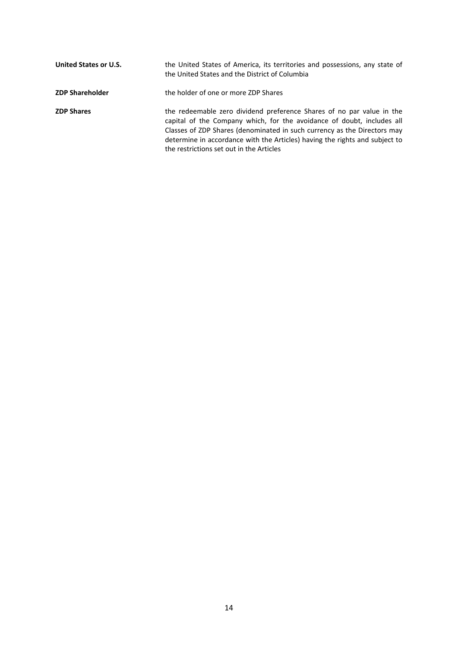| United States or U.S.  | the United States of America, its territories and possessions, any state of<br>the United States and the District of Columbia                                                                                                                                                                                                                          |
|------------------------|--------------------------------------------------------------------------------------------------------------------------------------------------------------------------------------------------------------------------------------------------------------------------------------------------------------------------------------------------------|
| <b>ZDP Shareholder</b> | the holder of one or more ZDP Shares                                                                                                                                                                                                                                                                                                                   |
| <b>ZDP Shares</b>      | the redeemable zero dividend preference Shares of no par value in the<br>capital of the Company which, for the avoidance of doubt, includes all<br>Classes of ZDP Shares (denominated in such currency as the Directors may<br>determine in accordance with the Articles) having the rights and subject to<br>the restrictions set out in the Articles |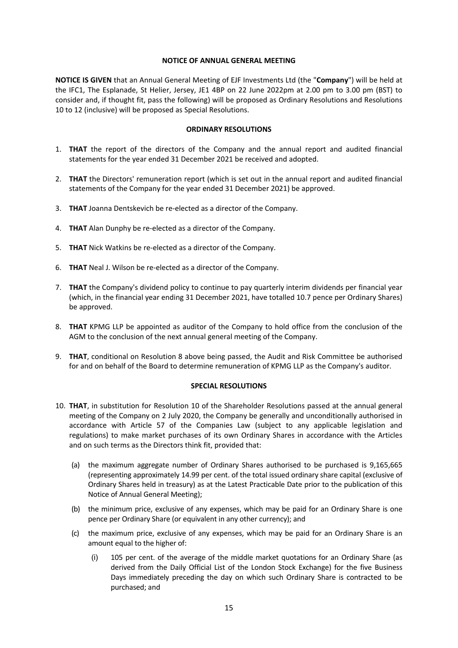### **NOTICE OF ANNUAL GENERAL MEETING**

**NOTICE IS GIVEN** that an Annual General Meeting of EJF Investments Ltd (the "**Company**") will be held at the IFC1, The Esplanade, St Helier, Jersey, JE1 4BP on 22 June 2022pm at 2.00 pm to 3.00 pm (BST) to consider and, if thought fit, pass the following) will be proposed as Ordinary Resolutions and Resolutions 10 to 12 (inclusive) will be proposed as Special Resolutions.

### **ORDINARY RESOLUTIONS**

- 1. **THAT** the report of the directors of the Company and the annual report and audited financial statements for the year ended 31 December 2021 be received and adopted.
- 2. **THAT** the Directors' remuneration report (which is set out in the annual report and audited financial statements of the Company for the year ended 31 December 2021) be approved.
- 3. **THAT** Joanna Dentskevich be re‐elected as a director of the Company.
- 4. **THAT** Alan Dunphy be re‐elected as a director of the Company.
- 5. **THAT** Nick Watkins be re‐elected as a director of the Company.
- 6. **THAT** Neal J. Wilson be re‐elected as a director of the Company.
- 7. **THAT** the Company's dividend policy to continue to pay quarterly interim dividends per financial year (which, in the financial year ending 31 December 2021, have totalled 10.7 pence per Ordinary Shares) be approved.
- 8. **THAT** KPMG LLP be appointed as auditor of the Company to hold office from the conclusion of the AGM to the conclusion of the next annual general meeting of the Company.
- 9. **THAT**, conditional on Resolution 8 above being passed, the Audit and Risk Committee be authorised for and on behalf of the Board to determine remuneration of KPMG LLP as the Company's auditor.

### **SPECIAL RESOLUTIONS**

- 10. **THAT**, in substitution for Resolution 10 of the Shareholder Resolutions passed at the annual general meeting of the Company on 2 July 2020, the Company be generally and unconditionally authorised in accordance with Article 57 of the Companies Law (subject to any applicable legislation and regulations) to make market purchases of its own Ordinary Shares in accordance with the Articles and on such terms as the Directors think fit, provided that:
	- (a) the maximum aggregate number of Ordinary Shares authorised to be purchased is 9,165,665 (representing approximately 14.99 per cent. of the total issued ordinary share capital (exclusive of Ordinary Shares held in treasury) as at the Latest Practicable Date prior to the publication of this Notice of Annual General Meeting);
	- (b) the minimum price, exclusive of any expenses, which may be paid for an Ordinary Share is one pence per Ordinary Share (or equivalent in any other currency); and
	- (c) the maximum price, exclusive of any expenses, which may be paid for an Ordinary Share is an amount equal to the higher of:
		- (i) 105 per cent. of the average of the middle market quotations for an Ordinary Share (as derived from the Daily Official List of the London Stock Exchange) for the five Business Days immediately preceding the day on which such Ordinary Share is contracted to be purchased; and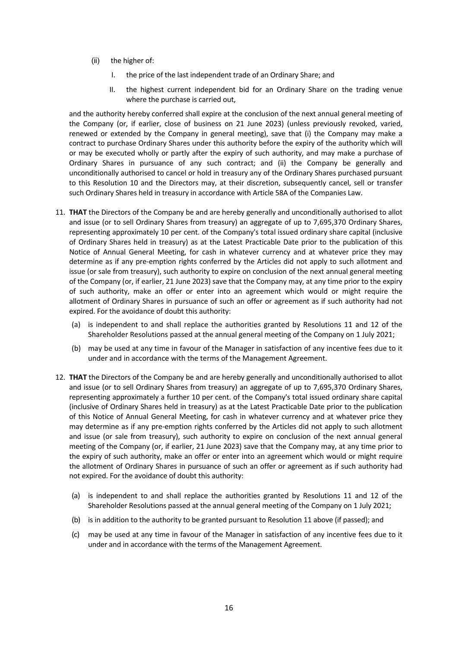- (ii) the higher of:
	- I. the price of the last independent trade of an Ordinary Share; and
	- II. the highest current independent bid for an Ordinary Share on the trading venue where the purchase is carried out,

and the authority hereby conferred shall expire at the conclusion of the next annual general meeting of the Company (or, if earlier, close of business on 21 June 2023) (unless previously revoked, varied, renewed or extended by the Company in general meeting), save that (i) the Company may make a contract to purchase Ordinary Shares under this authority before the expiry of the authority which will or may be executed wholly or partly after the expiry of such authority, and may make a purchase of Ordinary Shares in pursuance of any such contract; and (ii) the Company be generally and unconditionally authorised to cancel or hold in treasury any of the Ordinary Shares purchased pursuant to this Resolution 10 and the Directors may, at their discretion, subsequently cancel, sell or transfer such Ordinary Shares held in treasury in accordance with Article 58A of the Companies Law.

- 11. **THAT** the Directors of the Company be and are hereby generally and unconditionally authorised to allot and issue (or to sell Ordinary Shares from treasury) an aggregate of up to 7,695,370 Ordinary Shares, representing approximately 10 per cent. of the Company's total issued ordinary share capital (inclusive of Ordinary Shares held in treasury) as at the Latest Practicable Date prior to the publication of this Notice of Annual General Meeting, for cash in whatever currency and at whatever price they may determine as if any pre‐emption rights conferred by the Articles did not apply to such allotment and issue (or sale from treasury), such authority to expire on conclusion of the next annual general meeting of the Company (or, if earlier, 21 June 2023) save that the Company may, at any time prior to the expiry of such authority, make an offer or enter into an agreement which would or might require the allotment of Ordinary Shares in pursuance of such an offer or agreement as if such authority had not expired. For the avoidance of doubt this authority:
	- (a) is independent to and shall replace the authorities granted by Resolutions 11 and 12 of the Shareholder Resolutions passed at the annual general meeting of the Company on 1 July 2021;
	- (b) may be used at any time in favour of the Manager in satisfaction of any incentive fees due to it under and in accordance with the terms of the Management Agreement.
- 12. **THAT** the Directors of the Company be and are hereby generally and unconditionally authorised to allot and issue (or to sell Ordinary Shares from treasury) an aggregate of up to 7,695,370 Ordinary Shares, representing approximately a further 10 per cent. of the Company's total issued ordinary share capital (inclusive of Ordinary Shares held in treasury) as at the Latest Practicable Date prior to the publication of this Notice of Annual General Meeting, for cash in whatever currency and at whatever price they may determine as if any pre‐emption rights conferred by the Articles did not apply to such allotment and issue (or sale from treasury), such authority to expire on conclusion of the next annual general meeting of the Company (or, if earlier, 21 June 2023) save that the Company may, at any time prior to the expiry of such authority, make an offer or enter into an agreement which would or might require the allotment of Ordinary Shares in pursuance of such an offer or agreement as if such authority had not expired. For the avoidance of doubt this authority:
	- (a) is independent to and shall replace the authorities granted by Resolutions 11 and 12 of the Shareholder Resolutions passed at the annual general meeting of the Company on 1 July 2021;
	- (b) is in addition to the authority to be granted pursuant to Resolution 11 above (if passed); and
	- (c) may be used at any time in favour of the Manager in satisfaction of any incentive fees due to it under and in accordance with the terms of the Management Agreement.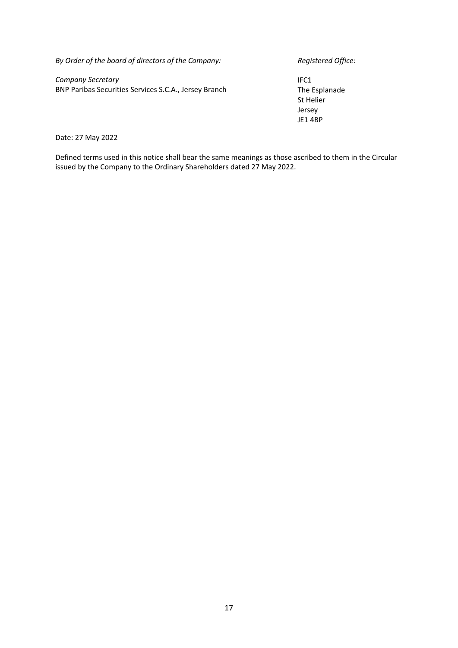*By Order of the board of directors of the Company: Registered Office:*

*Company Secretary* BNP Paribas Securities Services S.C.A., Jersey Branch

IFC1 The Esplanade St Helier Jersey JE1 4BP

Date: 27 May 2022

Defined terms used in this notice shall bear the same meanings as those ascribed to them in the Circular issued by the Company to the Ordinary Shareholders dated 27 May 2022.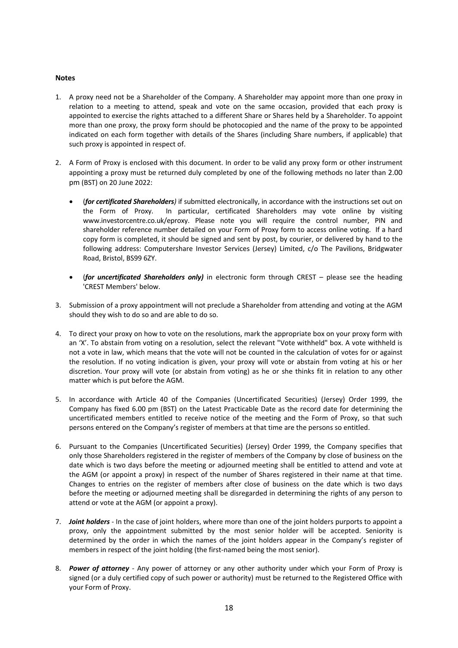### **Notes**

- 1. A proxy need not be a Shareholder of the Company. A Shareholder may appoint more than one proxy in relation to a meeting to attend, speak and vote on the same occasion, provided that each proxy is appointed to exercise the rights attached to a different Share or Shares held by a Shareholder. To appoint more than one proxy, the proxy form should be photocopied and the name of the proxy to be appointed indicated on each form together with details of the Shares (including Share numbers, if applicable) that such proxy is appointed in respect of.
- 2. A Form of Proxy is enclosed with this document. In order to be valid any proxy form or other instrument appointing a proxy must be returned duly completed by one of the following methods no later than 2.00 pm (BST) on 20 June 2022:
	- (*for certificated Shareholders)* if submitted electronically, in accordance with the instructions set out on the Form of Proxy. In particular, certificated Shareholders may vote online by visiting www.investorcentre.co.uk/eproxy. Please note you will require the control number, PIN and shareholder reference number detailed on your Form of Proxy form to access online voting. If a hard copy form is completed, it should be signed and sent by post, by courier, or delivered by hand to the following address: Computershare Investor Services (Jersey) Limited, c/o The Pavilions, Bridgwater Road, Bristol, BS99 6ZY.
	- (*for uncertificated Shareholders only)* in electronic form through CREST please see the heading 'CREST Members' below.
- 3. Submission of a proxy appointment will not preclude a Shareholder from attending and voting at the AGM should they wish to do so and are able to do so.
- 4. To direct your proxy on how to vote on the resolutions, mark the appropriate box on your proxy form with an 'X'. To abstain from voting on a resolution, select the relevant "Vote withheld" box. A vote withheld is not a vote in law, which means that the vote will not be counted in the calculation of votes for or against the resolution. If no voting indication is given, your proxy will vote or abstain from voting at his or her discretion. Your proxy will vote (or abstain from voting) as he or she thinks fit in relation to any other matter which is put before the AGM.
- 5. In accordance with Article 40 of the Companies (Uncertificated Securities) (Jersey) Order 1999, the Company has fixed 6.00 pm (BST) on the Latest Practicable Date as the record date for determining the uncertificated members entitled to receive notice of the meeting and the Form of Proxy, so that such persons entered on the Company's register of members at that time are the persons so entitled.
- 6. Pursuant to the Companies (Uncertificated Securities) (Jersey) Order 1999, the Company specifies that only those Shareholders registered in the register of members of the Company by close of business on the date which is two days before the meeting or adjourned meeting shall be entitled to attend and vote at the AGM (or appoint a proxy) in respect of the number of Shares registered in their name at that time. Changes to entries on the register of members after close of business on the date which is two days before the meeting or adjourned meeting shall be disregarded in determining the rights of any person to attend or vote at the AGM (or appoint a proxy).
- 7. *Joint holders* ‐ In the case of joint holders, where more than one of the joint holders purports to appoint a proxy, only the appointment submitted by the most senior holder will be accepted. Seniority is determined by the order in which the names of the joint holders appear in the Company's register of members in respect of the joint holding (the first-named being the most senior).
- 8. *Power of attorney* ‐ Any power of attorney or any other authority under which your Form of Proxy is signed (or a duly certified copy of such power or authority) must be returned to the Registered Office with your Form of Proxy.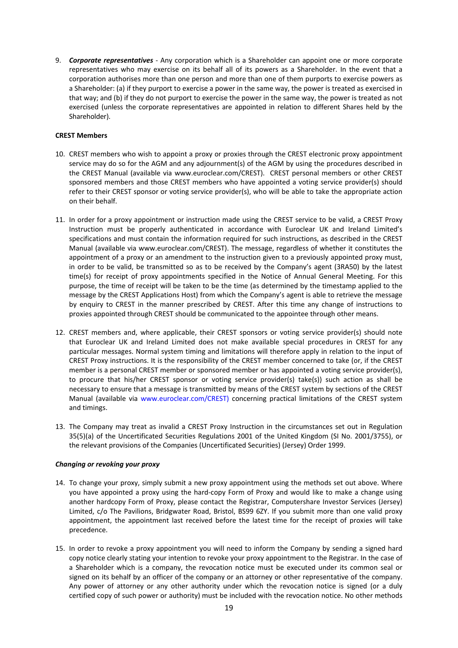9. *Corporate representatives* ‐ Any corporation which is a Shareholder can appoint one or more corporate representatives who may exercise on its behalf all of its powers as a Shareholder. In the event that a corporation authorises more than one person and more than one of them purports to exercise powers as a Shareholder: (a) if they purport to exercise a power in the same way, the power is treated as exercised in that way; and (b) if they do not purport to exercise the power in the same way, the power is treated as not exercised (unless the corporate representatives are appointed in relation to different Shares held by the Shareholder).

#### **CREST Members**

- 10. CREST members who wish to appoint a proxy or proxies through the CREST electronic proxy appointment service may do so for the AGM and any adjournment(s) of the AGM by using the procedures described in the CREST Manual (available via www.euroclear.com/CREST). CREST personal members or other CREST sponsored members and those CREST members who have appointed a voting service provider(s) should refer to their CREST sponsor or voting service provider(s), who will be able to take the appropriate action on their behalf.
- 11. In order for a proxy appointment or instruction made using the CREST service to be valid, a CREST Proxy Instruction must be properly authenticated in accordance with Euroclear UK and Ireland Limited's specifications and must contain the information required for such instructions, as described in the CREST Manual (available via www.euroclear.com/CREST). The message, regardless of whether it constitutes the appointment of a proxy or an amendment to the instruction given to a previously appointed proxy must, in order to be valid, be transmitted so as to be received by the Company's agent (3RA50) by the latest time(s) for receipt of proxy appointments specified in the Notice of Annual General Meeting. For this purpose, the time of receipt will be taken to be the time (as determined by the timestamp applied to the message by the CREST Applications Host) from which the Company's agent is able to retrieve the message by enquiry to CREST in the manner prescribed by CREST. After this time any change of instructions to proxies appointed through CREST should be communicated to the appointee through other means.
- 12. CREST members and, where applicable, their CREST sponsors or voting service provider(s) should note that Euroclear UK and Ireland Limited does not make available special procedures in CREST for any particular messages. Normal system timing and limitations will therefore apply in relation to the input of CREST Proxy instructions. It is the responsibility of the CREST member concerned to take (or, if the CREST member is a personal CREST member or sponsored member or has appointed a voting service provider(s), to procure that his/her CREST sponsor or voting service provider(s) take(s)) such action as shall be necessary to ensure that a message is transmitted by means of the CREST system by sections of the CREST Manual (available via www.euroclear.com/CREST) concerning practical limitations of the CREST system and timings.
- 13. The Company may treat as invalid a CREST Proxy Instruction in the circumstances set out in Regulation 35(5)(a) of the Uncertificated Securities Regulations 2001 of the United Kingdom (SI No. 2001/3755), or the relevant provisions of the Companies (Uncertificated Securities) (Jersey) Order 1999.

#### *Changing or revoking your proxy*

- 14. To change your proxy, simply submit a new proxy appointment using the methods set out above. Where you have appointed a proxy using the hard‐copy Form of Proxy and would like to make a change using another hardcopy Form of Proxy, please contact the Registrar, Computershare Investor Services (Jersey) Limited, c/o The Pavilions, Bridgwater Road, Bristol, BS99 6ZY. If you submit more than one valid proxy appointment, the appointment last received before the latest time for the receipt of proxies will take precedence.
- 15. In order to revoke a proxy appointment you will need to inform the Company by sending a signed hard copy notice clearly stating your intention to revoke your proxy appointment to the Registrar. In the case of a Shareholder which is a company, the revocation notice must be executed under its common seal or signed on its behalf by an officer of the company or an attorney or other representative of the company. Any power of attorney or any other authority under which the revocation notice is signed (or a duly certified copy of such power or authority) must be included with the revocation notice. No other methods